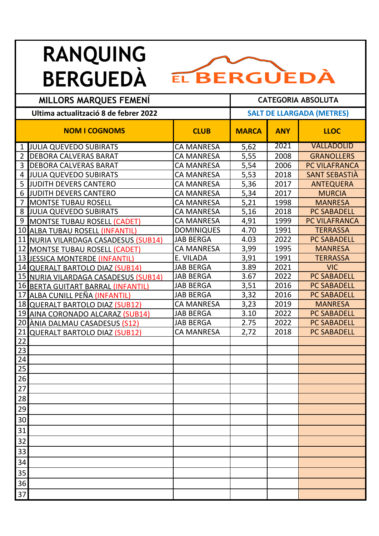## **RANQUING**



| <b>MILLORS MARQUES FEMENI</b>         |                                      |                   | <b>CATEGORIA ABSOLUTA</b>        |            |                      |  |
|---------------------------------------|--------------------------------------|-------------------|----------------------------------|------------|----------------------|--|
| Ultima actualització 8 de febrer 2022 |                                      |                   | <b>SALT DE LLARGADA (METRES)</b> |            |                      |  |
|                                       | <b>NOM I COGNOMS</b>                 | <b>CLUB</b>       | <b>MARCA</b>                     | <b>ANY</b> | <b>LLOC</b>          |  |
|                                       | <b>JULIA QUEVEDO SUBIRATS</b>        | <b>CA MANRESA</b> | 5,62                             | 2021       | <b>VALLADOLID</b>    |  |
| 2 <sub>1</sub>                        | <b>DEBORA CALVERAS BARAT</b>         | <b>CA MANRESA</b> | 5,55                             | 2008       | <b>GRANOLLERS</b>    |  |
| 3 <sup>1</sup>                        | <b>DEBORA CALVERAS BARAT</b>         | <b>CA MANRESA</b> | 5,54                             | 2006       | <b>PC VILAFRANCA</b> |  |
| 4 <sub>l</sub>                        | <b>JULIA QUEVEDO SUBIRATS</b>        | <b>CA MANRESA</b> | 5,53                             | 2018       | <b>SANT SEBASTIA</b> |  |
| 5 <sub>1</sub>                        | JUDITH DEVERS CANTERO                | <b>CA MANRESA</b> | 5,36                             | 2017       | <b>ANTEQUERA</b>     |  |
| 6                                     | JUDITH DEVERS CANTERO                | <b>CA MANRESA</b> | 5,34                             | 2017       | <b>MURCIA</b>        |  |
| $\overline{7}$                        | <b>MONTSE TUBAU ROSELL</b>           | <b>CA MANRESA</b> | 5,21                             | 1998       | <b>MANRESA</b>       |  |
| 8                                     | <b>JULIA QUEVEDO SUBIRATS</b>        | <b>CA MANRESA</b> | 5,16                             | 2018       | <b>PC SABADELL</b>   |  |
|                                       | 9 MONTSE TUBAU ROSELL (CADET)        | <b>CA MANRESA</b> | 4,91                             | 1999       | PC VILAFRANCA        |  |
|                                       | 10 ALBA TUBAU ROSELL (INFANTIL)      | <b>DOMINIQUES</b> | 4.70                             | 1991       | <b>TERRASSA</b>      |  |
|                                       | 11 NURIA VILARDAGA CASADESUS (SUB14) | <b>JAB BERGA</b>  | 4.03                             | 2022       | PC SABADELL          |  |
|                                       | 12 MONTSE TUBAU ROSELL (CADET)       | <b>CA MANRESA</b> | 3,99                             | 1995       | <b>MANRESA</b>       |  |
|                                       | 13 JESSICA MONTERDE (INFANTIL)       | E. VILADA         | 3,91                             | 1991       | <b>TERRASSA</b>      |  |
|                                       | 14 QUERALT BARTOLO DIAZ (SUB14)      | <b>JAB BERGA</b>  | 3.89                             | 2021       | <b>VIC</b>           |  |
|                                       | 15 NURIA VILARDAGA CASADESUS (SUB14) | <b>JAB BERGA</b>  | 3.67                             | 2022       | <b>PC SABADELL</b>   |  |
|                                       | 16 BERTA GUITART BARRAL (INFANTIL)   | <b>JAB BERGA</b>  | 3,51                             | 2016       | <b>PC SABADELL</b>   |  |
| 17                                    | ALBA CUNILL PEÑA (INFANTIL)          | <b>JAB BERGA</b>  | 3,32                             | 2016       | <b>PC SABADELL</b>   |  |
|                                       | 18 QUERALT BARTOLO DIAZ (SUB12)      | <b>CA MANRESA</b> | 3,23                             | 2019       | <b>MANRESA</b>       |  |
|                                       | 19 AINA CORONADO ALCARAZ (SUB14)     | <b>JAB BERGA</b>  | 3.10                             | 2022       | <b>PC SABADELL</b>   |  |
|                                       | 20 ÀNIA DALMAU CASADESUS (S12)       | <b>JAB BERGA</b>  | 2.75                             | 2022       | <b>PC SABADELL</b>   |  |
| 21                                    | <b>QUERALT BARTOLO DIAZ (SUB12)</b>  | <b>CA MANRESA</b> | 2,72                             | 2018       | <b>PC SABADELL</b>   |  |
| 22                                    |                                      |                   |                                  |            |                      |  |
| 23                                    |                                      |                   |                                  |            |                      |  |
| 24                                    |                                      |                   |                                  |            |                      |  |
| 25                                    |                                      |                   |                                  |            |                      |  |
| 26                                    |                                      |                   |                                  |            |                      |  |
| $\overline{27}$                       |                                      |                   |                                  |            |                      |  |
| 28                                    |                                      |                   |                                  |            |                      |  |
| 29                                    |                                      |                   |                                  |            |                      |  |
| 30                                    |                                      |                   |                                  |            |                      |  |
| 31                                    |                                      |                   |                                  |            |                      |  |
| 32                                    |                                      |                   |                                  |            |                      |  |
| 33                                    |                                      |                   |                                  |            |                      |  |
| 34                                    |                                      |                   |                                  |            |                      |  |
| 35                                    |                                      |                   |                                  |            |                      |  |
| 36                                    |                                      |                   |                                  |            |                      |  |
| 37                                    |                                      |                   |                                  |            |                      |  |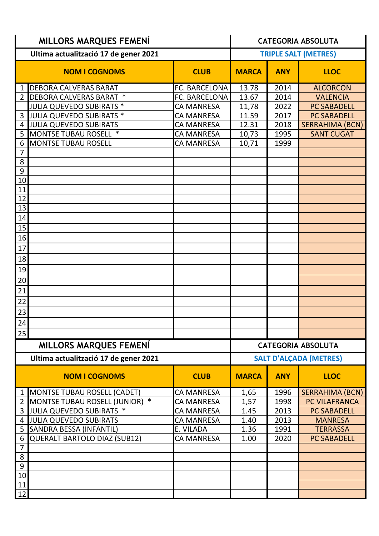| <b>MILLORS MARQUES FEMENÍ</b>         |                                        |                   | <b>CATEGORIA ABSOLUTA</b>     |            |                        |  |
|---------------------------------------|----------------------------------------|-------------------|-------------------------------|------------|------------------------|--|
| Ultima actualització 17 de gener 2021 |                                        |                   | <b>TRIPLE SALT (METRES)</b>   |            |                        |  |
|                                       | <b>NOM I COGNOMS</b>                   | <b>CLUB</b>       | <b>MARCA</b>                  | <b>ANY</b> | <b>LLOC</b>            |  |
| 1                                     | <b>DEBORA CALVERAS BARAT</b>           | FC. BARCELONA     | 13.78                         | 2014       | <b>ALCORCON</b>        |  |
| 2                                     | DEBORA CALVERAS BARAT *                | FC. BARCELONA     | 13.67                         | 2014       | <b>VALENCIA</b>        |  |
|                                       | JULIA QUEVEDO SUBIRATS *               | <b>CA MANRESA</b> | 11,78                         | 2022       | <b>PC SABADELL</b>     |  |
| 3                                     | JULIA QUEVEDO SUBIRATS *               | <b>CA MANRESA</b> | 11.59                         | 2017       | <b>PC SABADELL</b>     |  |
| 4                                     | <b>JULIA QUEVEDO SUBIRATS</b>          | <b>CA MANRESA</b> | 12.31                         | 2018       | <b>SERRAHIMA (BCN)</b> |  |
| 5                                     | <b>MONTSE TUBAU ROSELL *</b>           | <b>CA MANRESA</b> | 10,73                         | 1995       | <b>SANT CUGAT</b>      |  |
| 6                                     | <b>MONTSE TUBAU ROSELL</b>             | <b>CA MANRESA</b> | 10,71                         | 1999       |                        |  |
| $\overline{7}$                        |                                        |                   |                               |            |                        |  |
| 8                                     |                                        |                   |                               |            |                        |  |
| 9                                     |                                        |                   |                               |            |                        |  |
| $10\,$                                |                                        |                   |                               |            |                        |  |
| 11                                    |                                        |                   |                               |            |                        |  |
| 12                                    |                                        |                   |                               |            |                        |  |
| 13                                    |                                        |                   |                               |            |                        |  |
| 14<br>15                              |                                        |                   |                               |            |                        |  |
| 16                                    |                                        |                   |                               |            |                        |  |
| $17\,$                                |                                        |                   |                               |            |                        |  |
| 18                                    |                                        |                   |                               |            |                        |  |
| 19                                    |                                        |                   |                               |            |                        |  |
| $20\,$                                |                                        |                   |                               |            |                        |  |
| 21                                    |                                        |                   |                               |            |                        |  |
| 22                                    |                                        |                   |                               |            |                        |  |
| 23                                    |                                        |                   |                               |            |                        |  |
| 24                                    |                                        |                   |                               |            |                        |  |
| 25                                    |                                        |                   |                               |            |                        |  |
|                                       | <b>MILLORS MARQUES FEMENI</b>          |                   | <b>CATEGORIA ABSOLUTA</b>     |            |                        |  |
| Ultima actualització 17 de gener 2021 |                                        |                   | <b>SALT D'ALÇADA (METRES)</b> |            |                        |  |
|                                       | <b>NOM I COGNOMS</b>                   | <b>CLUB</b>       | <b>MARCA</b>                  | <b>ANY</b> | <b>LLOC</b>            |  |
| 1                                     | <b>MONTSE TUBAU ROSELL (CADET)</b>     | <b>CA MANRESA</b> | 1,65                          | 1996       | <b>SERRAHIMA (BCN)</b> |  |
| $\overline{2}$                        | MONTSE TUBAU ROSELL (JUNIOR)<br>$\ast$ | <b>CA MANRESA</b> | 1,57                          | 1998       | PC VILAFRANCA          |  |
| 3                                     | JULIA QUEVEDO SUBIRATS *               | <b>CA MANRESA</b> | 1.45                          | 2013       | <b>PC SABADELL</b>     |  |
| 4                                     | <b>JULIA QUEVEDO SUBIRATS</b>          | <b>CA MANRESA</b> | 1.40                          | 2013       | <b>MANRESA</b>         |  |
| 5                                     | SANDRA BESSA (INFANTIL)                | E. VILADA         | 1.36                          | 1991       | <b>TERRASSA</b>        |  |
| 6                                     | <b>QUERALT BARTOLO DIAZ (SUB12)</b>    | <b>CA MANRESA</b> | 1.00                          | 2020       | <b>PC SABADELL</b>     |  |
| $\overline{7}$                        |                                        |                   |                               |            |                        |  |
| 8                                     |                                        |                   |                               |            |                        |  |
| $9\,$                                 |                                        |                   |                               |            |                        |  |
| $10\,$                                |                                        |                   |                               |            |                        |  |
| 11                                    |                                        |                   |                               |            |                        |  |
| 12                                    |                                        |                   |                               |            |                        |  |